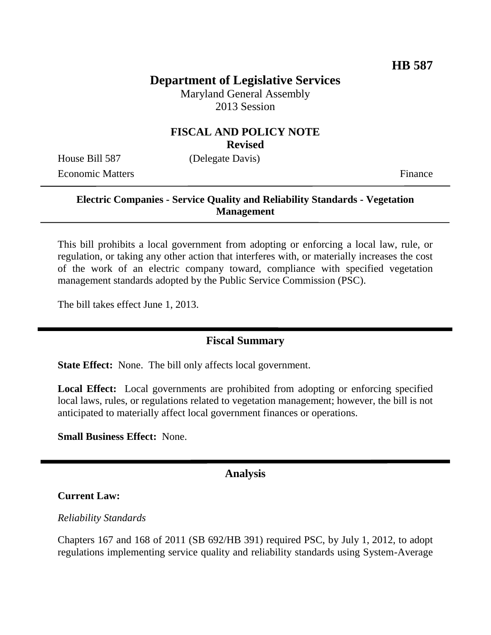# **Department of Legislative Services**

Maryland General Assembly 2013 Session

# **FISCAL AND POLICY NOTE**

**Revised**

House Bill 587 (Delegate Davis) Economic Matters Finance

## **Electric Companies - Service Quality and Reliability Standards - Vegetation Management**

This bill prohibits a local government from adopting or enforcing a local law, rule, or regulation, or taking any other action that interferes with, or materially increases the cost of the work of an electric company toward, compliance with specified vegetation management standards adopted by the Public Service Commission (PSC).

The bill takes effect June 1, 2013.

## **Fiscal Summary**

**State Effect:** None. The bill only affects local government.

**Local Effect:** Local governments are prohibited from adopting or enforcing specified local laws, rules, or regulations related to vegetation management; however, the bill is not anticipated to materially affect local government finances or operations.

**Small Business Effect:** None.

#### **Analysis**

#### **Current Law:**

#### *Reliability Standards*

Chapters 167 and 168 of 2011 (SB 692/HB 391) required PSC, by July 1, 2012, to adopt regulations implementing service quality and reliability standards using System-Average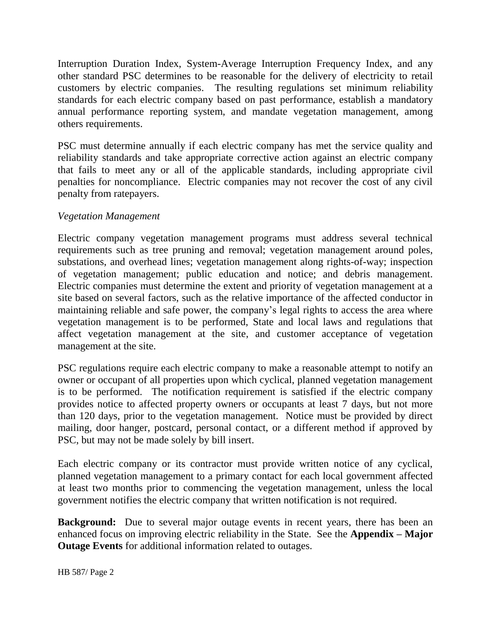Interruption Duration Index, System-Average Interruption Frequency Index, and any other standard PSC determines to be reasonable for the delivery of electricity to retail customers by electric companies. The resulting regulations set minimum reliability standards for each electric company based on past performance, establish a mandatory annual performance reporting system, and mandate vegetation management, among others requirements.

PSC must determine annually if each electric company has met the service quality and reliability standards and take appropriate corrective action against an electric company that fails to meet any or all of the applicable standards, including appropriate civil penalties for noncompliance. Electric companies may not recover the cost of any civil penalty from ratepayers.

## *Vegetation Management*

Electric company vegetation management programs must address several technical requirements such as tree pruning and removal; vegetation management around poles, substations, and overhead lines; vegetation management along rights-of-way; inspection of vegetation management; public education and notice; and debris management. Electric companies must determine the extent and priority of vegetation management at a site based on several factors, such as the relative importance of the affected conductor in maintaining reliable and safe power, the company's legal rights to access the area where vegetation management is to be performed, State and local laws and regulations that affect vegetation management at the site, and customer acceptance of vegetation management at the site.

PSC regulations require each electric company to make a reasonable attempt to notify an owner or occupant of all properties upon which cyclical, planned vegetation management is to be performed. The notification requirement is satisfied if the electric company provides notice to affected property owners or occupants at least 7 days, but not more than 120 days, prior to the vegetation management. Notice must be provided by direct mailing, door hanger, postcard, personal contact, or a different method if approved by PSC, but may not be made solely by bill insert.

Each electric company or its contractor must provide written notice of any cyclical, planned vegetation management to a primary contact for each local government affected at least two months prior to commencing the vegetation management, unless the local government notifies the electric company that written notification is not required.

**Background:** Due to several major outage events in recent years, there has been an enhanced focus on improving electric reliability in the State. See the **Appendix – Major Outage Events** for additional information related to outages.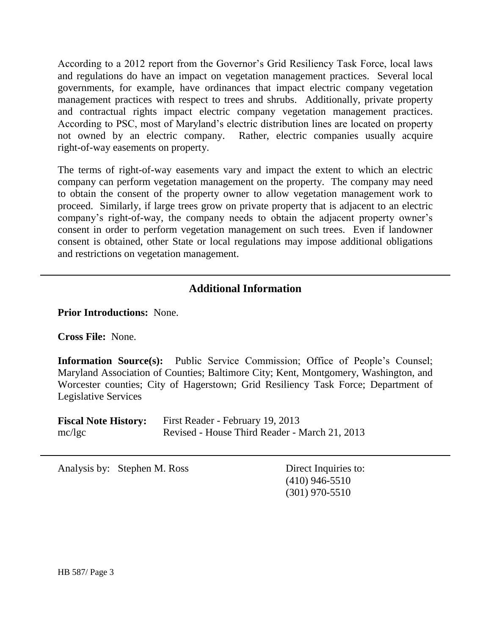According to a 2012 report from the Governor's Grid Resiliency Task Force, local laws and regulations do have an impact on vegetation management practices. Several local governments, for example, have ordinances that impact electric company vegetation management practices with respect to trees and shrubs. Additionally, private property and contractual rights impact electric company vegetation management practices. According to PSC, most of Maryland's electric distribution lines are located on property not owned by an electric company. Rather, electric companies usually acquire right-of-way easements on property.

The terms of right-of-way easements vary and impact the extent to which an electric company can perform vegetation management on the property. The company may need to obtain the consent of the property owner to allow vegetation management work to proceed. Similarly, if large trees grow on private property that is adjacent to an electric company's right-of-way, the company needs to obtain the adjacent property owner's consent in order to perform vegetation management on such trees. Even if landowner consent is obtained, other State or local regulations may impose additional obligations and restrictions on vegetation management.

## **Additional Information**

**Prior Introductions:** None.

**Cross File:** None.

**Information Source(s):** Public Service Commission; Office of People's Counsel; Maryland Association of Counties; Baltimore City; Kent, Montgomery, Washington, and Worcester counties; City of Hagerstown; Grid Resiliency Task Force; Department of Legislative Services

| <b>Fiscal Note History:</b> | First Reader - February 19, 2013              |  |  |  |  |
|-----------------------------|-----------------------------------------------|--|--|--|--|
| mc/kgc                      | Revised - House Third Reader - March 21, 2013 |  |  |  |  |

Analysis by: Stephen M. Ross Direct Inquiries to:

(410) 946-5510 (301) 970-5510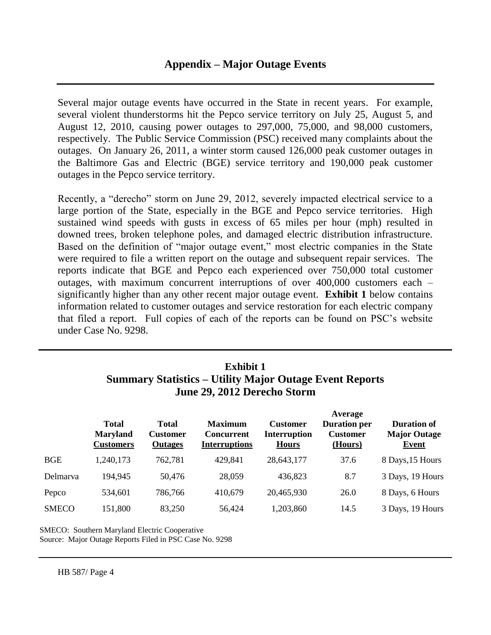Several major outage events have occurred in the State in recent years. For example, several violent thunderstorms hit the Pepco service territory on July 25, August 5, and August 12, 2010, causing power outages to 297,000, 75,000, and 98,000 customers, respectively. The Public Service Commission (PSC) received many complaints about the outages. On January 26, 2011, a winter storm caused 126,000 peak customer outages in the Baltimore Gas and Electric (BGE) service territory and 190,000 peak customer outages in the Pepco service territory.

Recently, a "derecho" storm on June 29, 2012, severely impacted electrical service to a large portion of the State, especially in the BGE and Pepco service territories. High sustained wind speeds with gusts in excess of 65 miles per hour (mph) resulted in downed trees, broken telephone poles, and damaged electric distribution infrastructure. Based on the definition of "major outage event," most electric companies in the State were required to file a written report on the outage and subsequent repair services. The reports indicate that BGE and Pepco each experienced over 750,000 total customer outages, with maximum concurrent interruptions of over 400,000 customers each – significantly higher than any other recent major outage event. **Exhibit 1** below contains information related to customer outages and service restoration for each electric company that filed a report. Full copies of each of the reports can be found on PSC's website under Case No. 9298.

# **Exhibit 1 Summary Statistics – Utility Major Outage Event Reports June 29, 2012 Derecho Storm**

|              | <b>Total</b><br><b>Maryland</b><br><b>Customers</b> | <b>Total</b><br><b>Customer</b><br><b>Outages</b> | <b>Maximum</b><br><b>Concurrent</b><br><b>Interruptions</b> | <b>Customer</b><br><b>Interruption</b><br><b>Hours</b> | Average<br><b>Duration per</b><br><b>Customer</b><br>(Hours) | <b>Duration of</b><br><b>Major Outage</b><br>Event |
|--------------|-----------------------------------------------------|---------------------------------------------------|-------------------------------------------------------------|--------------------------------------------------------|--------------------------------------------------------------|----------------------------------------------------|
| <b>BGE</b>   | 1,240,173                                           | 762,781                                           | 429,841                                                     | 28,643,177                                             | 37.6                                                         | 8 Days, 15 Hours                                   |
| Delmarva     | 194,945                                             | 50,476                                            | 28,059                                                      | 436,823                                                | 8.7                                                          | 3 Days, 19 Hours                                   |
| Pepco        | 534,601                                             | 786,766                                           | 410,679                                                     | 20,465,930                                             | 26.0                                                         | 8 Days, 6 Hours                                    |
| <b>SMECO</b> | 151,800                                             | 83,250                                            | 56,424                                                      | 1,203,860                                              | 14.5                                                         | 3 Days, 19 Hours                                   |

SMECO: Southern Maryland Electric Cooperative Source: Major Outage Reports Filed in PSC Case No. 9298